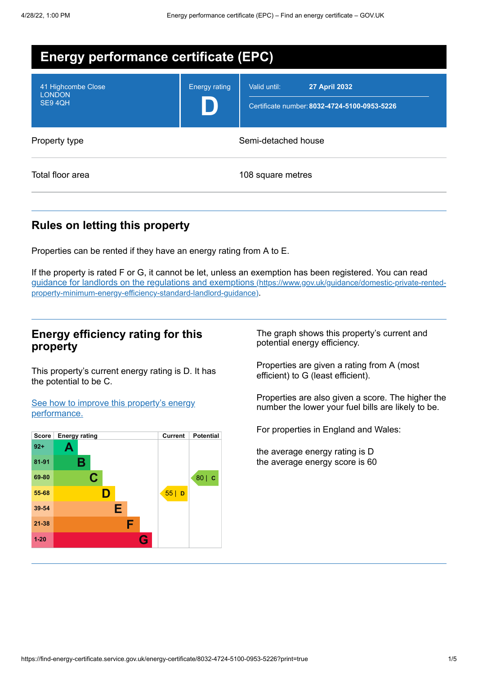| <b>Energy performance certificate (EPC)</b>   |                      |                                                                                      |  |
|-----------------------------------------------|----------------------|--------------------------------------------------------------------------------------|--|
| 41 Highcombe Close<br><b>LONDON</b><br>SE94QH | <b>Energy rating</b> | Valid until:<br><b>27 April 2032</b><br>Certificate number: 8032-4724-5100-0953-5226 |  |
| Property type                                 |                      | Semi-detached house                                                                  |  |
| Total floor area                              |                      | 108 square metres                                                                    |  |

## **Rules on letting this property**

Properties can be rented if they have an energy rating from A to E.

If the property is rated F or G, it cannot be let, unless an exemption has been registered. You can read guidance for landlords on the regulations and exemptions (https://www.gov.uk/guidance/domestic-private-rented[property-minimum-energy-efficiency-standard-landlord-guidance\)](https://www.gov.uk/guidance/domestic-private-rented-property-minimum-energy-efficiency-standard-landlord-guidance).

### **Energy efficiency rating for this property**

This property's current energy rating is D. It has the potential to be C.

See how to improve this property's energy [performance.](#page-2-0)



The graph shows this property's current and potential energy efficiency.

Properties are given a rating from A (most efficient) to G (least efficient).

Properties are also given a score. The higher the number the lower your fuel bills are likely to be.

For properties in England and Wales:

the average energy rating is D the average energy score is 60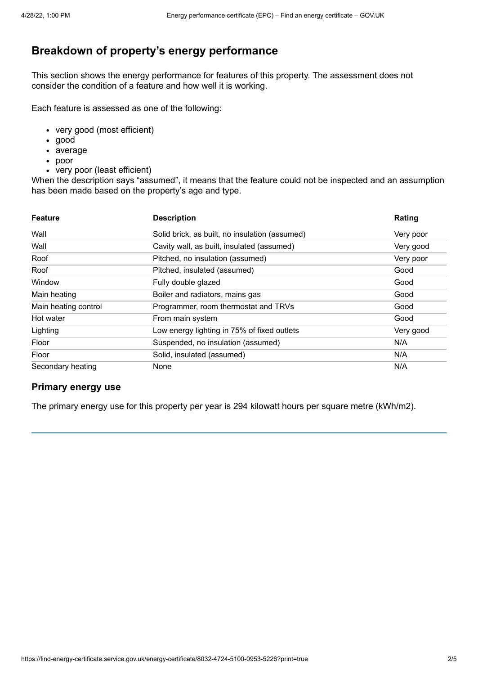## **Breakdown of property's energy performance**

This section shows the energy performance for features of this property. The assessment does not consider the condition of a feature and how well it is working.

Each feature is assessed as one of the following:

- very good (most efficient)
- good
- average
- poor
- very poor (least efficient)

When the description says "assumed", it means that the feature could not be inspected and an assumption has been made based on the property's age and type.

| <b>Feature</b>       | <b>Description</b>                             | Rating    |
|----------------------|------------------------------------------------|-----------|
| Wall                 | Solid brick, as built, no insulation (assumed) | Very poor |
| Wall                 | Cavity wall, as built, insulated (assumed)     | Very good |
| Roof                 | Pitched, no insulation (assumed)               | Very poor |
| Roof                 | Pitched, insulated (assumed)                   | Good      |
| Window               | Fully double glazed                            | Good      |
| Main heating         | Boiler and radiators, mains gas                | Good      |
| Main heating control | Programmer, room thermostat and TRVs           | Good      |
| Hot water            | From main system                               | Good      |
| Lighting             | Low energy lighting in 75% of fixed outlets    | Very good |
| Floor                | Suspended, no insulation (assumed)             | N/A       |
| Floor                | Solid, insulated (assumed)                     | N/A       |
| Secondary heating    | None                                           | N/A       |

#### **Primary energy use**

The primary energy use for this property per year is 294 kilowatt hours per square metre (kWh/m2).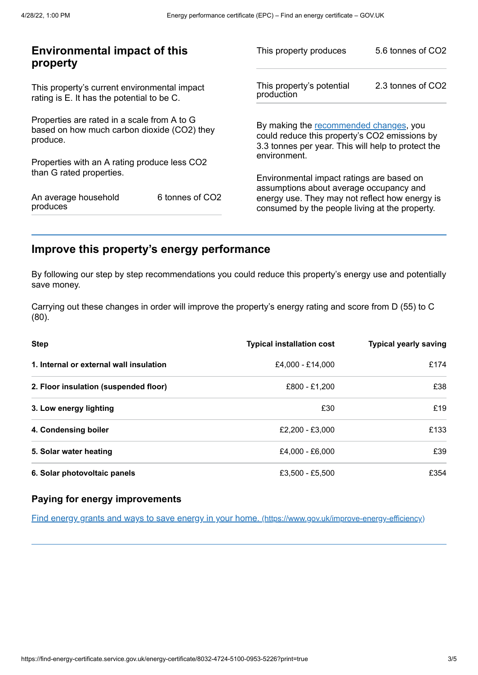| <b>Environmental impact of this</b><br>property                                                        |                 | This property produces                                                                                                                        | 5.6 tonnes of CO2 |
|--------------------------------------------------------------------------------------------------------|-----------------|-----------------------------------------------------------------------------------------------------------------------------------------------|-------------------|
| This property's current environmental impact<br>rating is E. It has the potential to be C.             |                 | This property's potential<br>production                                                                                                       | 2.3 tonnes of CO2 |
| Properties are rated in a scale from A to G<br>based on how much carbon dioxide (CO2) they<br>produce. |                 | By making the recommended changes, you<br>could reduce this property's CO2 emissions by<br>3.3 tonnes per year. This will help to protect the |                   |
| Properties with an A rating produce less CO2                                                           |                 | environment.                                                                                                                                  |                   |
| than G rated properties.                                                                               |                 | Environmental impact ratings are based on<br>assumptions about average occupancy and                                                          |                   |
| An average household<br>produces                                                                       | 6 tonnes of CO2 | energy use. They may not reflect how energy is<br>consumed by the people living at the property.                                              |                   |

## <span id="page-2-0"></span>**Improve this property's energy performance**

By following our step by step recommendations you could reduce this property's energy use and potentially save money.

Carrying out these changes in order will improve the property's energy rating and score from D (55) to C (80).

| <b>Step</b>                             | <b>Typical installation cost</b> | <b>Typical yearly saving</b> |
|-----------------------------------------|----------------------------------|------------------------------|
| 1. Internal or external wall insulation | £4.000 - £14.000                 | £174                         |
| 2. Floor insulation (suspended floor)   | £800 - £1.200                    | £38                          |
| 3. Low energy lighting                  | £30                              | £19                          |
| 4. Condensing boiler                    | £2.200 - £3.000                  | £133                         |
| 5. Solar water heating                  | £4.000 - £6.000                  | £39                          |
| 6. Solar photovoltaic panels            | £3,500 - £5,500                  | £354                         |

#### **Paying for energy improvements**

Find energy grants and ways to save energy in your home. [\(https://www.gov.uk/improve-energy-efficiency\)](https://www.gov.uk/improve-energy-efficiency)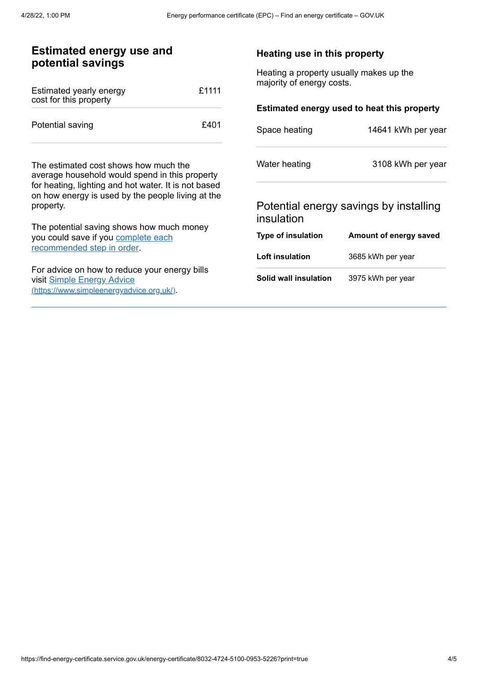| <b>Estimated energy use and</b><br>potential savings                                                                                                                                                              |       | Heating use in this property                                         |                                                             |
|-------------------------------------------------------------------------------------------------------------------------------------------------------------------------------------------------------------------|-------|----------------------------------------------------------------------|-------------------------------------------------------------|
| Estimated yearly energy<br>cost for this property                                                                                                                                                                 | £1111 | Heating a property usually makes up the<br>majority of energy costs. |                                                             |
| Potential saving                                                                                                                                                                                                  | £401  |                                                                      | Estimated energy used to heat this property                 |
|                                                                                                                                                                                                                   |       | Space heating                                                        | 14641 kWh per year                                          |
| The estimated cost shows how much the<br>average household would spend in this property<br>for heating, lighting and hot water. It is not based<br>on how energy is used by the people living at the<br>property. |       | Water heating<br>insulation                                          | 3108 kWh per year<br>Potential energy savings by installing |
| The potential saving shows how much money                                                                                                                                                                         |       | <b>Type of insulation</b>                                            | Amount of energy saved                                      |
| you could save if you complete each<br>recommended step in order.                                                                                                                                                 |       | Loft insulation                                                      | 3685 kWh per year                                           |
| For advice on how to reduce your energy bills<br>visit Simple Energy Advice<br>(https://www.simpleenergyadvice.org.uk/)                                                                                           |       | Solid wall insulation                                                | 3975 kWh per year                                           |